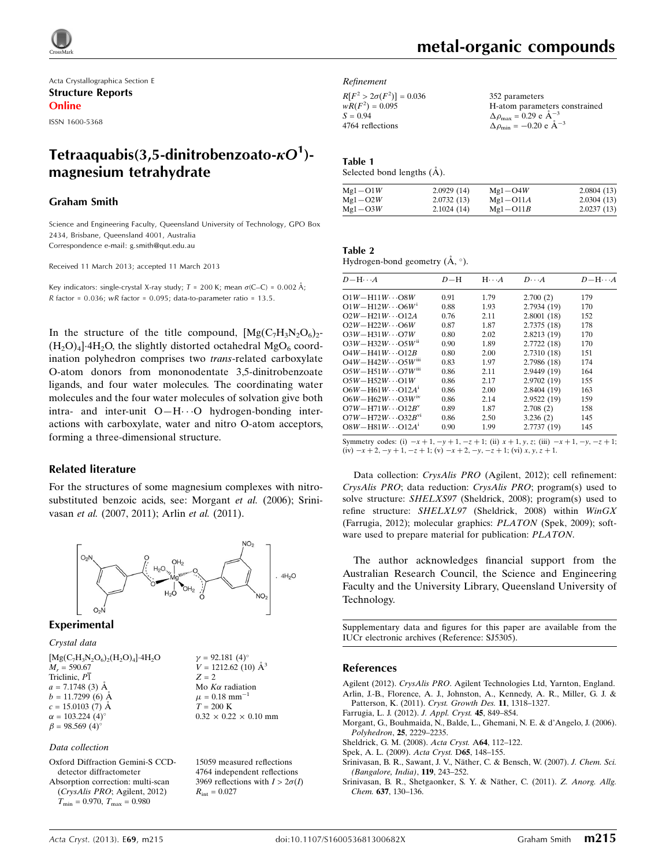

Acta Crystallographica Section E Structure Reports Online

ISSN 1600-5368

# Tetraaquabis(3,5-dinitrobenzoato- $\kappa O^1$ )magnesium tetrahydrate

#### Graham Smith

Science and Engineering Faculty, Queensland University of Technology, GPO Box 2434, Brisbane, Queensland 4001, Australia Correspondence e-mail: [g.smith@qut.edu.au](https://scripts.iucr.org/cgi-bin/cr.cgi?rm=pdfbb&cnor=sj5305&bbid=BB8)

Received 11 March 2013; accepted 11 March 2013

Key indicators: single-crystal X-ray study;  $T = 200$  K; mean  $\sigma$ (C–C) = 0.002 Å; R factor =  $0.036$ ; wR factor =  $0.095$ ; data-to-parameter ratio =  $13.5$ .

In the structure of the title compound,  $[Mg(C_7H_3N_2O_6)_2$ - $(H_2O)_4$ <sup>1.4</sup>H<sub>2</sub>O, the slightly distorted octahedral MgO<sub>6</sub> coordination polyhedron comprises two trans-related carboxylate O-atom donors from mononodentate 3,5-dinitrobenzoate ligands, and four water molecules. The coordinating water molecules and the four water molecules of solvation give both intra- and inter-unit O-H···O hydrogen-bonding interactions with carboxylate, water and nitro O-atom acceptors, forming a three-dimensional structure.

#### Related literature

For the structures of some magnesium complexes with nitrosubstituted benzoic acids, see: Morgant et al. (2006); Srinivasan et al. (2007, 2011); Arlin et al. (2011).



#### Experimental

Crystal data

 $[Mg(C_7H_3N_2O_6)_2(H_2O)_4]\cdot4H_2O$  $M_r = 590.67$ Triclinic, P1  $a = 7.1748$  (3) Å  $b = 11.7299(6)$  Å  $c = 15.0103$  (7) Å  $\alpha = 103.224$  (4)<sup>o</sup>  $\beta = 98.569$  (4)<sup>o</sup>

 $\gamma = 92.181 (4)$ °  $V = 1212.62$  (10)  $\AA^3$  $Z = 2$ Mo $K\alpha$  radiation  $\mu = 0.18$  mm<sup>-</sup>  $T = 200 \text{ K}$  $0.32 \times 0.22 \times 0.10$  mm

#### Data collection

Oxford Diffraction Gemini-S CCDdetector diffractometer Absorption correction: multi-scan (CrysAlis PRO; Agilent, 2012)  $T_{\text{min}} = 0.970$ ,  $T_{\text{max}} = 0.980$ 

15059 measured reflections 4764 independent reflections 3969 reflections with  $I > 2\sigma(I)$  $R_{\text{int}} = 0.027$ 

#### Refinement

 $R[F^2 > 2\sigma(F^2)] = 0.036$  $wR(F^2) = 0.095$  $S = 0.94$ 4764 reflections

352 parameters H-atom parameters constrained  $\Delta \rho_{\text{max}} = 0.29 \text{ e A}^{-3}$  $\Delta \rho_{\rm min} = -0.20 \text{ e } \text{\AA}^{-3}$ 

#### Table 1

Selected bond lengths  $(A)$ .

| $Mg1 - O1W$ | 2.0929(14) | $Mg1 - O4W$  | 2.0804(13) |
|-------------|------------|--------------|------------|
| $Mg1 - O2W$ | 2.0732(13) | $Mg1-O11A$   | 2.0304(13) |
| $Mg1 - O3W$ | 2.1024(14) | $Mg1 - O11B$ | 2.0237(13) |

| Table 2                               |  |  |
|---------------------------------------|--|--|
| Hydrogen-bond geometry $(A, \circ)$ . |  |  |

| $D - H \cdots A$                       | $D-H$ | $H \cdot \cdot \cdot A$ | $D\cdots A$ | $D - H \cdots A$ |
|----------------------------------------|-------|-------------------------|-------------|------------------|
| $O1W - H11W \cdots O8W$                | 0.91  | 1.79                    | 2.700(2)    | 179              |
| $O1W - H12W \cdots O6W$                | 0.88  | 1.93                    | 2.7934 (19) | 170              |
| $O2W - H21W \cdots O12A$               | 0.76  | 2.11                    | 2.8001(18)  | 152              |
| $O2W - H22W \cdots O6W$                | 0.87  | 1.87                    | 2.7375 (18) | 178              |
| $O3W - H31W \cdots O7W$                | 0.80  | 2.02                    | 2.8213 (19) | 170              |
| $O3W - H32W \cdots O5W$ <sup>ii</sup>  | 0.90  | 1.89                    | 2.7722(18)  | 170              |
| $O4W - H41W \cdots O12B$               | 0.80  | 2.00                    | 2.7310 (18) | 151              |
| $O4W - H42W \cdots O5W$ <sup>111</sup> | 0.83  | 1.97                    | 2.7986 (18) | 174              |
| $O5W - H51W \cdots O7W$ <sup>iii</sup> | 0.86  | 2.11                    | 2.9449 (19) | 164              |
| $O5W - H52W \cdots O1W$                | 0.86  | 2.17                    | 2.9702 (19) | 155              |
| $O6W - H61W \cdots O12A^1$             | 0.86  | 2.00                    | 2.8404 (19) | 163              |
| $O6W - H62W \cdots O3W$ <sup>1V</sup>  | 0.86  | 2.14                    | 2.9522 (19) | 159              |
| $O7W - H71W \cdots O12B^v$             | 0.89  | 1.87                    | 2.708(2)    | 158              |
| $O7W - H72W \cdots O32B^{v1}$          | 0.86  | 2.50                    | 3.236(2)    | 145              |
| $OSW - H81W \cdots O12A$               | 0.90  | 1.99                    | 2.7737 (19) | 145              |
|                                        |       |                         |             |                  |

Symmetry codes: (i)  $-x + 1$ ,  $-y + 1$ ,  $-z + 1$ ; (ii)  $x + 1$ ,  $y$ ,  $z$ ; (iii)  $-x + 1$ ,  $-y$ ,  $-z + 1$ ;  $(iv) -x + 2, -y + 1, -z + 1$ ;  $(v) -x + 2, -y, -z + 1$ ;  $(vi)$  x, y, z + 1.

Data collection: CrysAlis PRO (Agilent, 2012); cell refinement: CrysAlis PRO; data reduction: CrysAlis PRO; program(s) used to solve structure: SHELXS97 (Sheldrick, 2008); program(s) used to refine structure: SHELXL97 (Sheldrick, 2008) within WinGX (Farrugia, 2012); molecular graphics: PLATON (Spek, 2009); software used to prepare material for publication: PLATON.

The author acknowledges financial support from the Australian Research Council, the Science and Engineering Faculty and the University Library, Queensland University of Technology.

Supplementary data and figures for this paper are available from the IUCr electronic archives (Reference: SJ5305).

#### References

Agilent (2012). CrysAlis PRO[. Agilent Technologies Ltd, Yarnton, England.](https://scripts.iucr.org/cgi-bin/cr.cgi?rm=pdfbb&cnor=sj5305&bbid=BB1) [Arlin, J.-B., Florence, A. J., Johnston, A., Kennedy, A. R., Miller, G. J. &](https://scripts.iucr.org/cgi-bin/cr.cgi?rm=pdfbb&cnor=sj5305&bbid=BB2) [Patterson, K. \(2011\).](https://scripts.iucr.org/cgi-bin/cr.cgi?rm=pdfbb&cnor=sj5305&bbid=BB2) Cryst. Growth Des. 11, 1318–1327.

- [Farrugia, L. J. \(2012\).](https://scripts.iucr.org/cgi-bin/cr.cgi?rm=pdfbb&cnor=sj5305&bbid=BB3) J. Appl. Cryst. 45, 849–854.
- [Morgant, G., Bouhmaida, N., Balde, L., Ghemani, N. E. & d'Angelo, J. \(2006\).](https://scripts.iucr.org/cgi-bin/cr.cgi?rm=pdfbb&cnor=sj5305&bbid=BB4) Polyhedron, 25[, 2229–2235.](https://scripts.iucr.org/cgi-bin/cr.cgi?rm=pdfbb&cnor=sj5305&bbid=BB4)
- [Sheldrick, G. M. \(2008\).](https://scripts.iucr.org/cgi-bin/cr.cgi?rm=pdfbb&cnor=sj5305&bbid=BB5) Acta Cryst. A64, 112–122.
- [Spek, A. L. \(2009\).](https://scripts.iucr.org/cgi-bin/cr.cgi?rm=pdfbb&cnor=sj5305&bbid=BB6) Acta Cryst. D65, 148–155.
- Srinivasan, B. R., Sawant, J. V., Näther, C. & Bensch, W. (2007). J. Chem. Sci. [\(Bangalore, India\)](https://scripts.iucr.org/cgi-bin/cr.cgi?rm=pdfbb&cnor=sj5305&bbid=BB7), 119, 243–252.
- Srinivasan, B. R., Shetgaonker, S. Y. & Näther, C. (2011). Z. Anorg. Allg. Chem. 637[, 130–136.](https://scripts.iucr.org/cgi-bin/cr.cgi?rm=pdfbb&cnor=sj5305&bbid=BB8)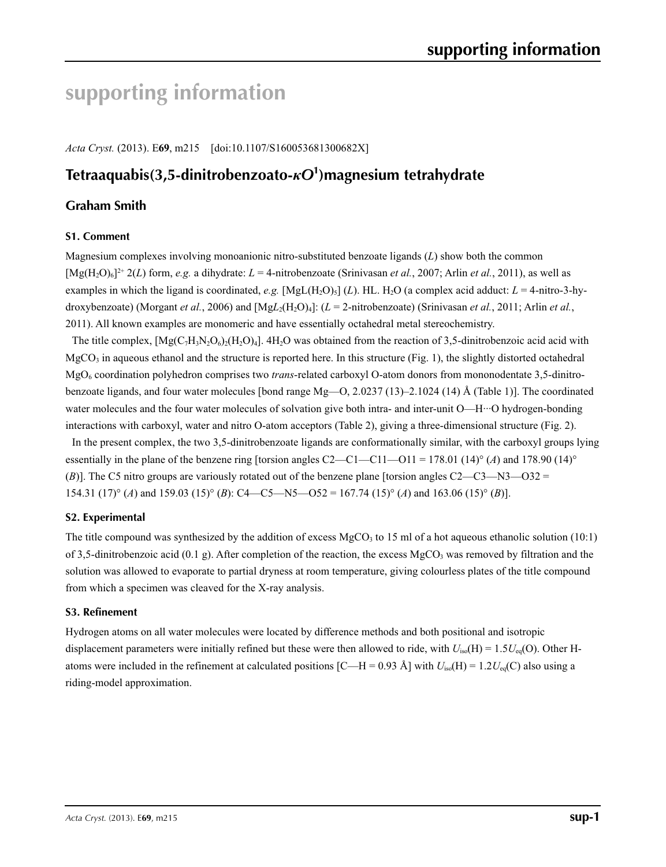# **supporting information**

*Acta Cryst.* (2013). E**69**, m215 [doi:10.1107/S160053681300682X]

# **Tetraaquabis(3,5-dinitrobenzoato-***κO***<sup>1</sup> )magnesium tetrahydrate**

# **Graham Smith**

#### **S1. Comment**

Magnesium complexes involving monoanionic nitro-substituted benzoate ligands (*L*) show both the common  $[\text{Mg}(H_2O)_6]^2$ <sup>+</sup> 2(*L*) form, *e.g.* a dihydrate:  $L = 4$ -nitrobenzoate (Srinivasan *et al.*, 2007; Arlin *et al.*, 2011), as well as examples in which the ligand is coordinated, *e.g.* [MgL(H<sub>2</sub>O)<sub>5</sub>] (*L*). HL. H<sub>2</sub>O (a complex acid adduct:  $L = 4$ -nitro-3-hydroxybenzoate) (Morgant *et al.*, 2006) and [Mg*L*<sub>2</sub>(H<sub>2</sub>O)<sub>4</sub>]: (*L* = 2-nitrobenzoate) (Srinivasan *et al.*, 2011; Arlin *et al.*, 2011). All known examples are monomeric and have essentially octahedral metal stereochemistry.

The title complex,  $[Mg(C_7H_3N_2O_6)(H_2O)_4]$ . 4H<sub>2</sub>O was obtained from the reaction of 3,5-dinitrobenzoic acid acid with  $MgCO<sub>3</sub>$  in aqueous ethanol and the structure is reported here. In this structure (Fig. 1), the slightly distorted octahedral MgO6 coordination polyhedron comprises two *trans*-related carboxyl O-atom donors from mononodentate 3,5-dinitrobenzoate ligands, and four water molecules [bond range Mg—O, 2.0237 (13)–2.1024 (14) Å (Table 1)]. The coordinated water molecules and the four water molecules of solvation give both intra- and inter-unit O—H···O hydrogen-bonding interactions with carboxyl, water and nitro O-atom acceptors (Table 2), giving a three-dimensional structure (Fig. 2).

In the present complex, the two 3,5-dinitrobenzoate ligands are conformationally similar, with the carboxyl groups lying essentially in the plane of the benzene ring [torsion angles C2—C1—C11—O11 = 178.01 (14)° (*A*) and 178.90 (14)° (*B*)]. The C5 nitro groups are variously rotated out of the benzene plane [torsion angles C2—C3—N3—O32 = 154.31 (17)° (*A*) and 159.03 (15)° (*B*): C4—C5—N5—O52 = 167.74 (15)° (*A*) and 163.06 (15)° (*B*)].

#### **S2. Experimental**

The title compound was synthesized by the addition of excess MgCO<sub>3</sub> to 15 ml of a hot aqueous ethanolic solution (10:1) of 3,5-dinitrobenzoic acid (0.1 g). After completion of the reaction, the excess MgCO<sub>3</sub> was removed by filtration and the solution was allowed to evaporate to partial dryness at room temperature, giving colourless plates of the title compound from which a specimen was cleaved for the X-ray analysis.

#### **S3. Refinement**

Hydrogen atoms on all water molecules were located by difference methods and both positional and isotropic displacement parameters were initially refined but these were then allowed to ride, with  $U_{iso}(H) = 1.5U_{eq}(O)$ . Other Hatoms were included in the refinement at calculated positions  $\text{[C—H = 0.93 Å]}$  with  $U_{\text{iso}}(\text{H}) = 1.2U_{\text{eq}}(\text{C})$  also using a riding-model approximation.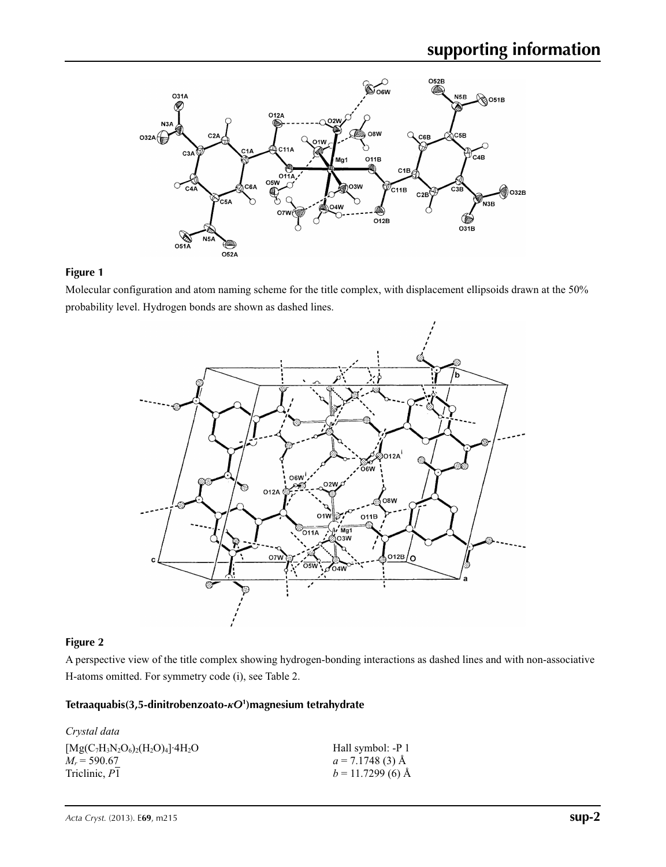

### **Figure 1**

Molecular configuration and atom naming scheme for the title complex, with displacement ellipsoids drawn at the 50% probability level. Hydrogen bonds are shown as dashed lines.



## **Figure 2**

A perspective view of the title complex showing hydrogen-bonding interactions as dashed lines and with non-associative H-atoms omitted. For symmetry code (i), see Table 2.

## **Tetraaquabis(3,5-dinitrobenzoato-***κO***<sup>1</sup> )magnesium tetrahydrate**

| Crystal data                                       |                    |
|----------------------------------------------------|--------------------|
| $[Mg(C_7H_3N_2O_6)_2(H_2O)_4]$ · 4H <sub>2</sub> O | Hall symbol: -P 1  |
| $M_r = 590.67$                                     | $a = 7.1748(3)$ Å  |
| Triclinic, P1                                      | $b = 11.7299(6)$ Å |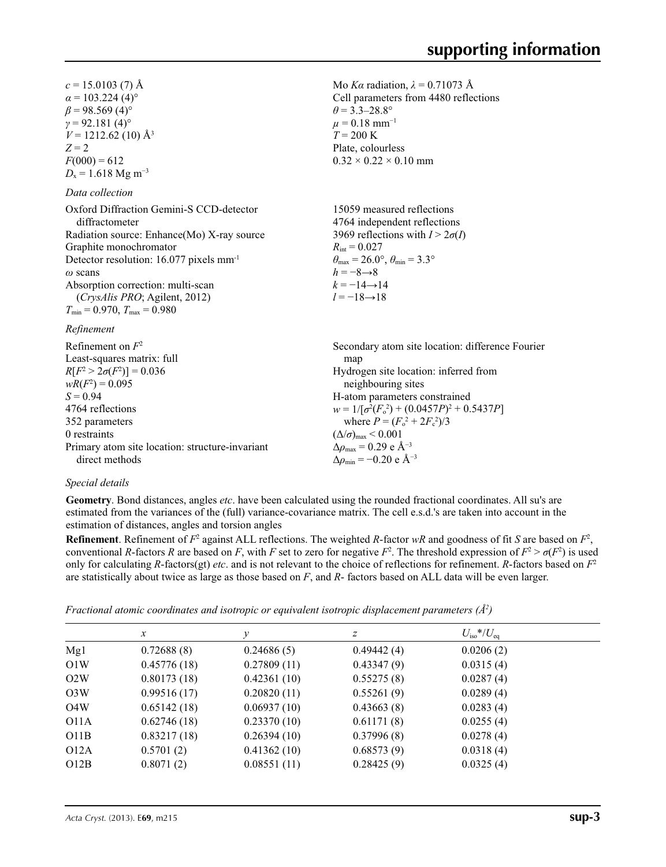Mo *Kα* radiation, *λ* = 0.71073 Å Cell parameters from 4480 reflections

 $\theta$  = 3.3–28.8°  $\mu$  = 0.18 mm<sup>-1</sup>  $T = 200 \text{ K}$ Plate, colourless  $0.32 \times 0.22 \times 0.10$  mm

 $c = 15.0103$  (7) Å  $\alpha$  = 103.224 (4)<sup>o</sup>  $\beta$  = 98.569 (4)<sup>o</sup>  $\gamma$  = 92.181 (4)<sup>o</sup>  $V = 1212.62$  (10) Å<sup>3</sup>  $Z = 2$  $F(000) = 612$  $D_x = 1.618$  Mg m<sup>-3</sup>

#### *Data collection*

Oxford Diffraction Gemini-S CCD-detector diffractometer Radiation source: Enhance(Mo) X-ray source Graphite monochromator Detector resolution: 16.077 pixels mm-1 *ω* scans Absorption correction: multi-scan (*CrysAlis PRO*; Agilent, 2012)  $T_{\text{min}} = 0.970$ ,  $T_{\text{max}} = 0.980$ 15059 measured reflections 4764 independent reflections 3969 reflections with  $I > 2\sigma(I)$  $R_{\text{int}} = 0.027$  $\theta_{\text{max}} = 26.0^{\circ}, \theta_{\text{min}} = 3.3^{\circ}$  $h = -8 \rightarrow 8$  $k = -14 \rightarrow 14$  $l = -18 \rightarrow 18$ 

#### *Refinement*

| Refinement on $F^2$                             | Secondary atom site location: difference Fourier          |
|-------------------------------------------------|-----------------------------------------------------------|
| Least-squares matrix: full                      | map                                                       |
| $R[F^2 > 2\sigma(F^2)] = 0.036$                 | Hydrogen site location: inferred from                     |
| $wR(F^2) = 0.095$                               | neighbouring sites                                        |
| $S = 0.94$                                      | H-atom parameters constrained                             |
| 4764 reflections                                | $w = 1/[\sigma^2(F_0^2) + (0.0457P)^2 + 0.5437P]$         |
| 352 parameters                                  | where $P = (F_0^2 + 2F_c^2)/3$                            |
| 0 restraints                                    | $(\Delta/\sigma)_{\text{max}}$ < 0.001                    |
| Primary atom site location: structure-invariant | $\Delta\rho_{\text{max}} = 0.29$ e Å <sup>-3</sup>        |
| direct methods                                  | $\Delta\rho_{\rm min} = -0.20 \text{ e } \text{\AA}^{-3}$ |
|                                                 |                                                           |

#### *Special details*

**Geometry**. Bond distances, angles *etc*. have been calculated using the rounded fractional coordinates. All su's are estimated from the variances of the (full) variance-covariance matrix. The cell e.s.d.'s are taken into account in the estimation of distances, angles and torsion angles

**Refinement**. Refinement of  $F^2$  against ALL reflections. The weighted *R*-factor  $wR$  and goodness of fit *S* are based on  $F^2$ , conventional *R*-factors *R* are based on *F*, with *F* set to zero for negative  $F^2$ . The threshold expression of  $F^2 > \sigma(F^2)$  is used only for calculating *R*-factors(gt) *etc*. and is not relevant to the choice of reflections for refinement. *R*-factors based on *F*<sup>2</sup> are statistically about twice as large as those based on *F*, and *R*- factors based on ALL data will be even larger.

| Fractional atomic coordinates and isotropic or equivalent isotropic displacement parameters ( $\AA^2$ ) |  |  |  |
|---------------------------------------------------------------------------------------------------------|--|--|--|
|                                                                                                         |  |  |  |

|                  | $\mathcal{X}$ | v           | z          | $U_{\rm iso} * / U_{\rm eq}$ |  |
|------------------|---------------|-------------|------------|------------------------------|--|
| Mg1              | 0.72688(8)    | 0.24686(5)  | 0.49442(4) | 0.0206(2)                    |  |
| O1W              | 0.45776(18)   | 0.27809(11) | 0.43347(9) | 0.0315(4)                    |  |
| O2W              | 0.80173(18)   | 0.42361(10) | 0.55275(8) | 0.0287(4)                    |  |
| O <sub>3</sub> W | 0.99516(17)   | 0.20820(11) | 0.55261(9) | 0.0289(4)                    |  |
| O4W              | 0.65142(18)   | 0.06937(10) | 0.43663(8) | 0.0283(4)                    |  |
| O11A             | 0.62746(18)   | 0.23370(10) | 0.61171(8) | 0.0255(4)                    |  |
| O11B             | 0.83217(18)   | 0.26394(10) | 0.37996(8) | 0.0278(4)                    |  |
| O12A             | 0.5701(2)     | 0.41362(10) | 0.68573(9) | 0.0318(4)                    |  |
| O12B             | 0.8071(2)     | 0.08551(11) | 0.28425(9) | 0.0325(4)                    |  |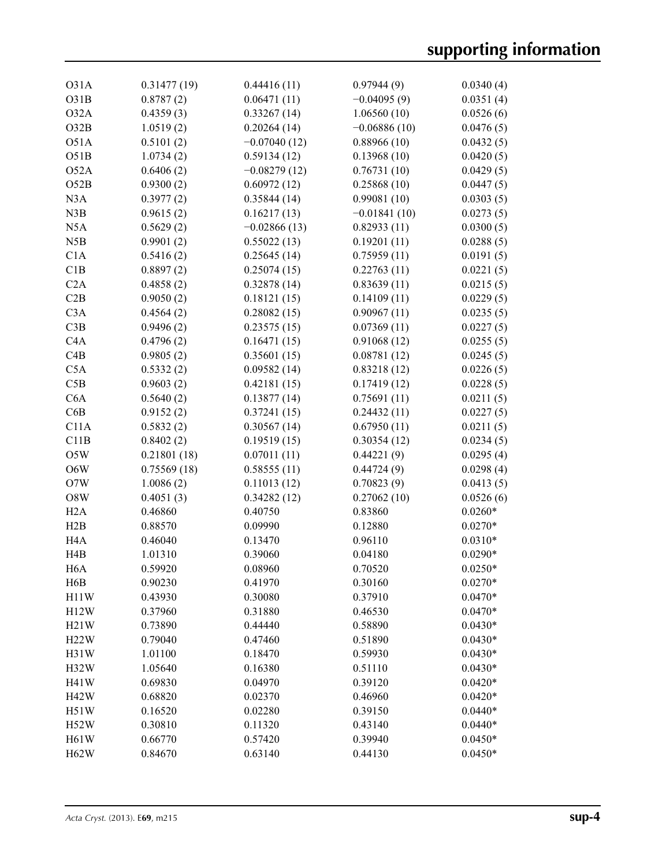| O31A              | 0.31477(19) | 0.44416(11)                | 0.97944(9)     | 0.0340(4) |
|-------------------|-------------|----------------------------|----------------|-----------|
| O31B              | 0.8787(2)   | 0.06471(11)                | $-0.04095(9)$  | 0.0351(4) |
| O32A              | 0.4359(3)   | 0.33267(14)                | 1.06560(10)    | 0.0526(6) |
| O32B              | 1.0519(2)   | 0.20264(14)                | $-0.06886(10)$ | 0.0476(5) |
| O51A              | 0.5101(2)   | $-0.07040(12)$             | 0.88966(10)    | 0.0432(5) |
| O51B              | 1.0734(2)   | 0.59134(12)                | 0.13968(10)    | 0.0420(5) |
| O52A              | 0.6406(2)   | $-0.08279(12)$             | 0.76731(10)    | 0.0429(5) |
| O52B              | 0.9300(2)   | 0.60972(12)                | 0.25868(10)    | 0.0447(5) |
| N3A               | 0.3977(2)   | 0.35844(14)                | 0.99081(10)    | 0.0303(5) |
| N3B               | 0.9615(2)   | 0.16217(13)                | $-0.01841(10)$ | 0.0273(5) |
| N <sub>5</sub> A  | 0.5629(2)   | $-0.02866(13)$             | 0.82933(11)    | 0.0300(5) |
| N5B               | 0.9901(2)   | 0.55022(13)                | 0.19201(11)    | 0.0288(5) |
| C1A               | 0.5416(2)   | 0.25645(14)                | 0.75959(11)    | 0.0191(5) |
| C1B               | 0.8897(2)   | 0.25074(15)                | 0.22763(11)    | 0.0221(5) |
| C2A               | 0.4858(2)   | 0.32878(14)                | 0.83639(11)    | 0.0215(5) |
| C2B               | 0.9050(2)   | 0.18121(15)                | 0.14109(11)    | 0.0229(5) |
| C3A               |             |                            | 0.90967(11)    |           |
| C3B               | 0.4564(2)   | 0.28082(15)<br>0.23575(15) | 0.07369(11)    | 0.0235(5) |
| C4A               | 0.9496(2)   |                            |                | 0.0227(5) |
|                   | 0.4796(2)   | 0.16471(15)                | 0.91068(12)    | 0.0255(5) |
| C4B               | 0.9805(2)   | 0.35601(15)                | 0.08781(12)    | 0.0245(5) |
| C5A               | 0.5332(2)   | 0.09582(14)                | 0.83218(12)    | 0.0226(5) |
| C5B               | 0.9603(2)   | 0.42181(15)                | 0.17419(12)    | 0.0228(5) |
| C6A               | 0.5640(2)   | 0.13877(14)                | 0.75691(11)    | 0.0211(5) |
| C6B               | 0.9152(2)   | 0.37241(15)                | 0.24432(11)    | 0.0227(5) |
| C11A              | 0.5832(2)   | 0.30567(14)                | 0.67950(11)    | 0.0211(5) |
| C11B              | 0.8402(2)   | 0.19519(15)                | 0.30354(12)    | 0.0234(5) |
| O5W               | 0.21801(18) | 0.07011(11)                | 0.44221(9)     | 0.0295(4) |
| O6W               | 0.75569(18) | 0.58555(11)                | 0.44724(9)     | 0.0298(4) |
| O7W               | 1.0086(2)   | 0.11013(12)                | 0.70823(9)     | 0.0413(5) |
| O8W               | 0.4051(3)   | 0.34282(12)                | 0.27062(10)    | 0.0526(6) |
| H2A               | 0.46860     | 0.40750                    | 0.83860        | $0.0260*$ |
| H2B               | 0.88570     | 0.09990                    | 0.12880        | $0.0270*$ |
| H <sub>4</sub> A  | 0.46040     | 0.13470                    | 0.96110        | $0.0310*$ |
| H <sub>4</sub> B  | 1.01310     | 0.39060                    | 0.04180        | $0.0290*$ |
| H <sub>6</sub> A  | 0.59920     | 0.08960                    | 0.70520        | $0.0250*$ |
| H <sub>6</sub> B  | 0.90230     | 0.41970                    | 0.30160        | $0.0270*$ |
| H11W              | 0.43930     | 0.30080                    | 0.37910        | $0.0470*$ |
| H12W              | 0.37960     | 0.31880                    | 0.46530        | $0.0470*$ |
| H21W              | 0.73890     | 0.44440                    | 0.58890        | $0.0430*$ |
| H22W              | 0.79040     | 0.47460                    | 0.51890        | $0.0430*$ |
| H31W              | 1.01100     | 0.18470                    | 0.59930        | $0.0430*$ |
| H32W              | 1.05640     | 0.16380                    | 0.51110        | $0.0430*$ |
| H41W              | 0.69830     | 0.04970                    | 0.39120        | $0.0420*$ |
| H42W              | 0.68820     | 0.02370                    | 0.46960        | $0.0420*$ |
| H51W              | 0.16520     | 0.02280                    | 0.39150        | $0.0440*$ |
| H52W              | 0.30810     | 0.11320                    | 0.43140        | $0.0440*$ |
| H <sub>61</sub> W | 0.66770     | 0.57420                    | 0.39940        | $0.0450*$ |
| H62W              | 0.84670     | 0.63140                    | 0.44130        | $0.0450*$ |
|                   |             |                            |                |           |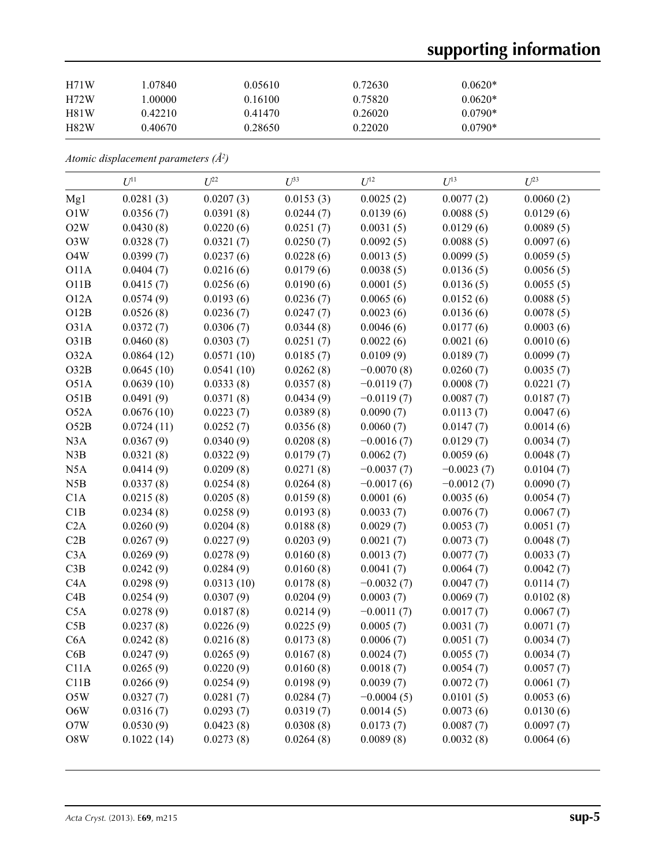# **supporting information**

| H71W | .07840  | 0.05610 | 0.72630 | $0.0620*$ |  |
|------|---------|---------|---------|-----------|--|
| H72W | .00000  | 0.16100 | 0.75820 | $0.0620*$ |  |
| H81W | 0.42210 | 0.41470 | 0.26020 | $0.0790*$ |  |
| H82W | 0.40670 | 0.28650 | 0.22020 | $0.0790*$ |  |

*Atomic displacement parameters (Å2 )*

|                  | $U^{11}$   | $U^{22}$   | $U^{33}$  | $U^{12}$     | $U^{13}$     | $U^{23}$  |
|------------------|------------|------------|-----------|--------------|--------------|-----------|
| Mg1              | 0.0281(3)  | 0.0207(3)  | 0.0153(3) | 0.0025(2)    | 0.0077(2)    | 0.0060(2) |
| O1W              | 0.0356(7)  | 0.0391(8)  | 0.0244(7) | 0.0139(6)    | 0.0088(5)    | 0.0129(6) |
| O2W              | 0.0430(8)  | 0.0220(6)  | 0.0251(7) | 0.0031(5)    | 0.0129(6)    | 0.0089(5) |
| O3W              | 0.0328(7)  | 0.0321(7)  | 0.0250(7) | 0.0092(5)    | 0.0088(5)    | 0.0097(6) |
| O4W              | 0.0399(7)  | 0.0237(6)  | 0.0228(6) | 0.0013(5)    | 0.0099(5)    | 0.0059(5) |
| <b>O11A</b>      | 0.0404(7)  | 0.0216(6)  | 0.0179(6) | 0.0038(5)    | 0.0136(5)    | 0.0056(5) |
| O11B             | 0.0415(7)  | 0.0256(6)  | 0.0190(6) | 0.0001(5)    | 0.0136(5)    | 0.0055(5) |
| O12A             | 0.0574(9)  | 0.0193(6)  | 0.0236(7) | 0.0065(6)    | 0.0152(6)    | 0.0088(5) |
| O12B             | 0.0526(8)  | 0.0236(7)  | 0.0247(7) | 0.0023(6)    | 0.0136(6)    | 0.0078(5) |
| O31A             | 0.0372(7)  | 0.0306(7)  | 0.0344(8) | 0.0046(6)    | 0.0177(6)    | 0.0003(6) |
| O31B             | 0.0460(8)  | 0.0303(7)  | 0.0251(7) | 0.0022(6)    | 0.0021(6)    | 0.0010(6) |
| O32A             | 0.0864(12) | 0.0571(10) | 0.0185(7) | 0.0109(9)    | 0.0189(7)    | 0.0099(7) |
| O32B             | 0.0645(10) | 0.0541(10) | 0.0262(8) | $-0.0070(8)$ | 0.0260(7)    | 0.0035(7) |
| O51A             | 0.0639(10) | 0.0333(8)  | 0.0357(8) | $-0.0119(7)$ | 0.0008(7)    | 0.0221(7) |
| O51B             | 0.0491(9)  | 0.0371(8)  | 0.0434(9) | $-0.0119(7)$ | 0.0087(7)    | 0.0187(7) |
| O52A             | 0.0676(10) | 0.0223(7)  | 0.0389(8) | 0.0090(7)    | 0.0113(7)    | 0.0047(6) |
| O52B             | 0.0724(11) | 0.0252(7)  | 0.0356(8) | 0.0060(7)    | 0.0147(7)    | 0.0014(6) |
| N3A              | 0.0367(9)  | 0.0340(9)  | 0.0208(8) | $-0.0016(7)$ | 0.0129(7)    | 0.0034(7) |
| N3B              | 0.0321(8)  | 0.0322(9)  | 0.0179(7) | 0.0062(7)    | 0.0059(6)    | 0.0048(7) |
| N <sub>5</sub> A | 0.0414(9)  | 0.0209(8)  | 0.0271(8) | $-0.0037(7)$ | $-0.0023(7)$ | 0.0104(7) |
| N5B              | 0.0337(8)  | 0.0254(8)  | 0.0264(8) | $-0.0017(6)$ | $-0.0012(7)$ | 0.0090(7) |
| C1A              | 0.0215(8)  | 0.0205(8)  | 0.0159(8) | 0.0001(6)    | 0.0035(6)    | 0.0054(7) |
| C1B              | 0.0234(8)  | 0.0258(9)  | 0.0193(8) | 0.0033(7)    | 0.0076(7)    | 0.0067(7) |
| C2A              | 0.0260(9)  | 0.0204(8)  | 0.0188(8) | 0.0029(7)    | 0.0053(7)    | 0.0051(7) |
| C2B              | 0.0267(9)  | 0.0227(9)  | 0.0203(9) | 0.0021(7)    | 0.0073(7)    | 0.0048(7) |
| C3A              | 0.0269(9)  | 0.0278(9)  | 0.0160(8) | 0.0013(7)    | 0.0077(7)    | 0.0033(7) |
| C3B              | 0.0242(9)  | 0.0284(9)  | 0.0160(8) | 0.0041(7)    | 0.0064(7)    | 0.0042(7) |
| C <sub>4</sub> A | 0.0298(9)  | 0.0313(10) | 0.0178(8) | $-0.0032(7)$ | 0.0047(7)    | 0.0114(7) |
| C4B              | 0.0254(9)  | 0.0307(9)  | 0.0204(9) | 0.0003(7)    | 0.0069(7)    | 0.0102(8) |
| C5A              | 0.0278(9)  | 0.0187(8)  | 0.0214(9) | $-0.0011(7)$ | 0.0017(7)    | 0.0067(7) |
| C5B              | 0.0237(8)  | 0.0226(9)  | 0.0225(9) | 0.0005(7)    | 0.0031(7)    | 0.0071(7) |
| C <sub>6</sub> A | 0.0242(8)  | 0.0216(8)  | 0.0173(8) | 0.0006(7)    | 0.0051(7)    | 0.0034(7) |
| C6B              | 0.0247(9)  | 0.0265(9)  | 0.0167(8) | 0.0024(7)    | 0.0055(7)    | 0.0034(7) |
| C11A             | 0.0265(9)  | 0.0220(9)  | 0.0160(8) | 0.0018(7)    | 0.0054(7)    | 0.0057(7) |
| C11B             | 0.0266(9)  | 0.0254(9)  | 0.0198(9) | 0.0039(7)    | 0.0072(7)    | 0.0061(7) |
| O5W              | 0.0327(7)  | 0.0281(7)  | 0.0284(7) | $-0.0004(5)$ | 0.0101(5)    | 0.0053(6) |
| O6W              | 0.0316(7)  | 0.0293(7)  | 0.0319(7) | 0.0014(5)    | 0.0073(6)    | 0.0130(6) |
| O7W              | 0.0530(9)  | 0.0423(8)  | 0.0308(8) | 0.0173(7)    | 0.0087(7)    | 0.0097(7) |
| O8W              | 0.1022(14) | 0.0273(8)  | 0.0264(8) | 0.0089(8)    | 0.0032(8)    | 0.0064(6) |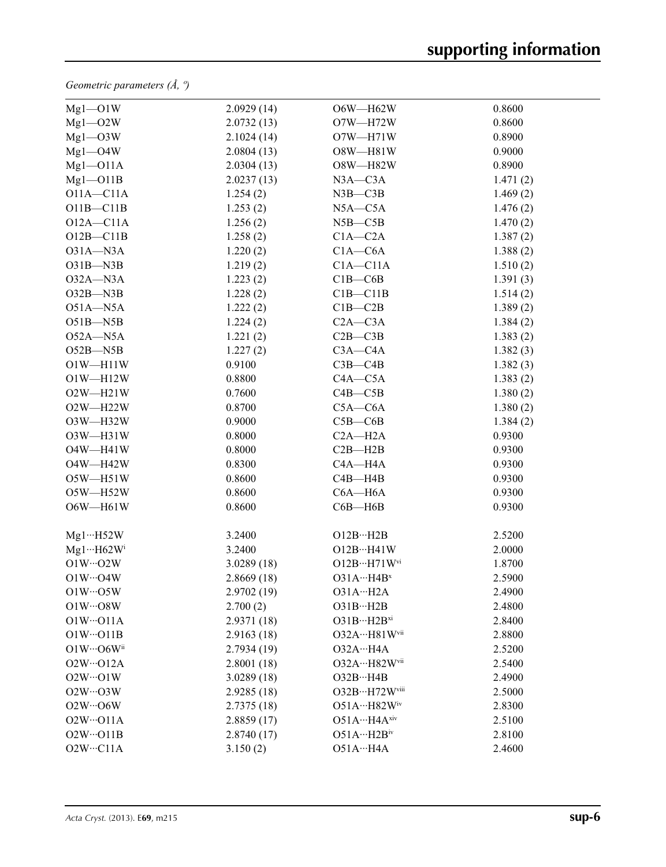*Geometric parameters (Å, º)*

| $Mg1 - O1W$                    | 2.0929(14)  | O6W-H62W                   | 0.8600   |
|--------------------------------|-------------|----------------------------|----------|
| $Mg1 - O2W$                    | 2.0732(13)  | $O7W - H72W$               | 0.8600   |
| $Mg1 - O3W$                    | 2.1024(14)  | $O7W - H71W$               | 0.8900   |
| $Mg1 - O4W$                    | 2.0804(13)  | O8W-H81W                   | 0.9000   |
| $Mg1 - O11A$                   | 2.0304(13)  | O8W-H82W                   | 0.8900   |
| $Mg1 - O11B$                   | 2.0237(13)  | $N3A - C3A$                | 1.471(2) |
| $O11A - C11A$                  | 1.254(2)    | $N3B - C3B$                | 1.469(2) |
| $O11B - C11B$                  | 1.253(2)    | $N5A - C5A$                | 1.476(2) |
| $O12A - C11A$                  | 1.256(2)    | $N5B - C5B$                | 1.470(2) |
| $O12B - C11B$                  | 1.258(2)    | $C1A - C2A$                | 1.387(2) |
| $O31A - N3A$                   | 1.220(2)    | $C1A - C6A$                | 1.388(2) |
| $O31B - N3B$                   | 1.219(2)    | $C1A - C11A$               | 1.510(2) |
| $O32A - N3A$                   | 1.223(2)    | $C1B - C6B$                | 1.391(3) |
| $O32B - N3B$                   | 1.228(2)    | $C1B - C11B$               | 1.514(2) |
| $O51A - N5A$                   | 1.222(2)    | $C1B - C2B$                | 1.389(2) |
| $O51B - N5B$                   | 1.224(2)    | $C2A - C3A$                | 1.384(2) |
| $O52A - N5A$                   | 1.221(2)    | $C2B - C3B$                | 1.383(2) |
| $O52B - N5B$                   | 1.227(2)    | $C3A - C4A$                | 1.382(3) |
| $O1W - H11W$                   | 0.9100      | $C3B - C4B$                | 1.382(3) |
| $O1W - H12W$                   | 0.8800      | $C4A - C5A$                | 1.383(2) |
| $O2W - H21W$                   | 0.7600      | $C4B - C5B$                | 1.380(2) |
| $O2W - H22W$                   | 0.8700      | $C5A - C6A$                | 1.380(2) |
| O3W-H32W                       | 0.9000      | $C5B - C6B$                | 1.384(2) |
| O3W-H31W                       | 0.8000      | $C2A - H2A$                | 0.9300   |
| O4W-H41W                       | 0.8000      | $C2B - H2B$                | 0.9300   |
| O4W-H42W                       | 0.8300      | $C4A - H4A$                | 0.9300   |
| O5W-H51W                       | 0.8600      | $C4B - H4B$                | 0.9300   |
| $O5W - H52W$                   | 0.8600      | $C6A - H6A$                | 0.9300   |
| $O6W - H61W$                   | 0.8600      | $C6B - H6B$                | 0.9300   |
| $Mg1 \cdots H52W$              | 3.2400      | O12BH2B                    | 2.5200   |
| $Mg1 \cdots H62 W^{i}$         | 3.2400      | $O12B\cdots H41W$          | 2.0000   |
| $O1W \cdots O2W$               | 3.0289(18)  | O12B…H71Wvi                | 1.8700   |
| $O1W \cdots O4W$               | 2.8669(18)  | $O31A \cdots H4B^x$        | 2.5900   |
| $O1W \cdots O5W$               | 2.9702(19)  | O31AH2A                    | 2.4900   |
| $O1W \cdots O8W$               | 2.700(2)    | O31BH2B                    | 2.4800   |
| $O1W \cdot O11A$               | 2.9371 (18) | $O31B\cdots H2B^{xi}$      | 2.8400   |
| $O1W \cdot O11B$               | 2.9163(18)  | O32A…H81Wvii               | 2.8800   |
| $O1W \cdots O6W$ <sup>ii</sup> | 2.7934(19)  | O32AH4A                    | 2.5200   |
| $O2W \cdot O12A$               | 2.8001(18)  | 032A…H82Wvii               | 2.5400   |
| $O2W \cdot O1W$                | 3.0289(18)  | O32BH4B                    | 2.4900   |
| $O2W \cdots O3W$               | 2.9285(18)  | O32B…H72Wviii              | 2.5000   |
| $O2W \cdot O6W$                | 2.7375(18)  | $O51AH82W$ iv              | 2.8300   |
| $O2W \cdot O11A$               | 2.8859(17)  | $O51AH4A$ xiv              | 2.5100   |
| $O2W \cdot O11B$               | 2.8740(17)  | $O51A\cdots H2B}^{\rm iv}$ | 2.8100   |
| $O2W \cdots C11A$              | 3.150(2)    | O51AH4A                    | 2.4600   |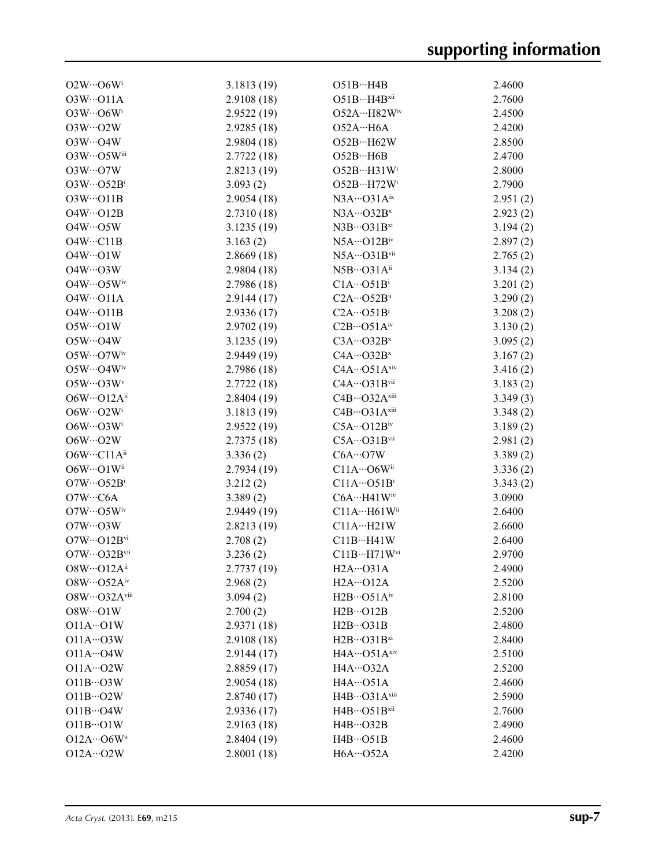| $O2W \cdot O6W^i$                          | 3.1813(19)  | O51BH4B                              | 2.4600   |
|--------------------------------------------|-------------|--------------------------------------|----------|
| $O3W \cdot O11A$                           | 2.9108 (18) | $O51BH4B$ xii                        | 2.7600   |
| $O3W \cdot O6W$ <sup>i</sup>               | 2.9522(19)  | $O52A \cdot \cdot \cdot H82W}$       | 2.4500   |
| $O3W \cdots O2W$                           | 2.9285(18)  | O52AH6A                              | 2.4200   |
| $O3W \cdot O4W$                            | 2.9804(18)  | O52B…H62W                            | 2.8500   |
| O3W…O5Wiii                                 | 2.7722(18)  | O52BH6B                              | 2.4700   |
| $O3W \cdots O7W$                           | 2.8213(19)  | O52BH31W <sup>i</sup>                | 2.8000   |
| $O3W \cdots O52B^i$                        | 3.093(2)    | O52B…H72Wi                           | 2.7900   |
| $O3W \cdot O11B$                           | 2.9054(18)  | $N3A\cdots$ O31 $A^{ix}$             | 2.951(2) |
| $O4W \cdot O12B$                           | 2.7310(18)  | $N3A\cdots O32B^{x}$                 | 2.923(2) |
| $O4W \cdot O5W$                            | 3.1235(19)  | $N3B\cdots$ O31 $B^{xi}$             | 3.194(2) |
| $O4W \cdot \cdot \cdot C11B$               | 3.163(2)    | $N5A\cdots O12Biv$                   | 2.897(2) |
| $O4W \cdot O1W$                            | 2.8669(18)  | N5A…O31Bvii                          | 2.765(2) |
| $O4W \cdots O3W$                           | 2.9804(18)  | $N5B\cdots$ O31A <sup>ii</sup>       | 3.134(2) |
| $O4W \cdots O5W$ iv                        | 2.7986(18)  | $C1A\cdots O51B^i$                   | 3.201(2) |
| $O4W \cdot O11A$                           | 2.9144(17)  | $C2A\cdots$ O52Bii                   | 3.290(2) |
| $O4W \cdot O11B$                           | 2.9336(17)  | $C2A\cdots O51B^i$                   | 3.208(2) |
| $O5W \cdot O1W$                            | 2.9702 (19) | $C2B\cdots$ O51Aiv                   | 3.130(2) |
| $O5W \cdot O4W$                            | 3.1235(19)  | $C3A\cdots O32B^{x}$                 | 3.095(2) |
| $O5W \cdots O7W$ iv                        | 2.9449(19)  | $C4A\cdots O32B^{x}$                 | 3.167(2) |
| O5W…O4Wiv                                  | 2.7986(18)  | $C4A\cdots$ O51 $A$ xiv              | 3.416(2) |
| $O5W \cdots O3W$                           | 2.7722(18)  | C4A…O31Bvii                          | 3.183(2) |
| $O6W \cdot \cdot \cdot O12A^{ii}$          | 2.8404(19)  | C4B…O32Axiii                         | 3.349(3) |
| $O6W \cdots O2W^i$                         | 3.1813(19)  | C4B…O31Axiii                         |          |
| $O6W \cdot \cdot \cdot O3W^i$              |             | $C5A \cdots O12B$ <sup>iv</sup>      | 3.348(2) |
| $O6W \cdot O2W$                            | 2.9522(19)  | $C5A\cdots O31B$ vii                 | 3.189(2) |
| O6W…C11Aii                                 | 2.7375(18)  | $C6A\cdots O7W$                      | 2.981(2) |
|                                            | 3.336(2)    |                                      | 3.389(2) |
| O6W…O1Wii                                  | 2.7934(19)  | $C11A\cdots$ O6Wii                   | 3.336(2) |
| $O7W \cdot \cdot \cdot O52B^i$             | 3.212(2)    | $C11A\cdots O51B^i$                  | 3.343(2) |
| O7W…C6A                                    | 3.389(2)    | $C6A\cdots H41W$ iv                  | 3.0900   |
| $O7W \cdots O5W$ iv                        | 2.9449(19)  | C11A…H61Wii                          | 2.6400   |
| $O7W \cdot O3W$                            | 2.8213(19)  | C11AH21W                             | 2.6600   |
| $O7W \cdot \cdot \cdot O12B$ <sup>vi</sup> | 2.708(2)    | $C11B\cdots H41W$                    | 2.6400   |
| O7W…O32Bvii                                | 3.236(2)    | $C11B\cdots H71W$ <sup>vi</sup>      | 2.9700   |
| O8W…O12Aii                                 | 2.7737 (19) | H <sub>2</sub> A···O <sub>31</sub> A | 2.4900   |
| $O8W \cdots O52A^{iv}$                     | 2.968(2)    | $H2A \cdots O12A$                    | 2.5200   |
| O8W…O32Aviii                               | 3.094(2)    | $H2B\cdots$ O51Aiv                   | 2.8100   |
| $O8W \cdot O1W$                            | 2.700(2)    | $H2B\cdots O12B$                     | 2.5200   |
| $O11A \cdots O1W$                          | 2.9371 (18) | $H2B\cdots O31B$                     | 2.4800   |
| $O11A\cdots O3W$                           | 2.9108(18)  | $H2B\cdots$ O31 $Bxi$                | 2.8400   |
| $O11A\cdots O4W$                           | 2.9144(17)  | $H4A\cdots$ O51 $A^{xiv}$            | 2.5100   |
| $O11A\cdots O2W$                           | 2.8859(17)  | $H4A\cdots$ O32A                     | 2.5200   |
| $O11B\cdots O3W$                           | 2.9054(18)  | H4A…O51A                             | 2.4600   |
| $O11B\cdots O2W$                           | 2.8740(17)  | H4B…O31Axiii                         | 2.5900   |
| $O11B\cdots O4W$                           | 2.9336(17)  | $H4B\cdots$ O51 $Bxii$               | 2.7600   |
| $O11B\cdots O1W$                           | 2.9163(18)  | $H4B\cdots$ O32B                     | 2.4900   |
| O12A…O6Wii                                 | 2.8404(19)  | $H4B\cdots$ O51B                     | 2.4600   |
| $O12A \cdots O2W$                          | 2.8001(18)  | $H6A \cdots O52A$                    | 2.4200   |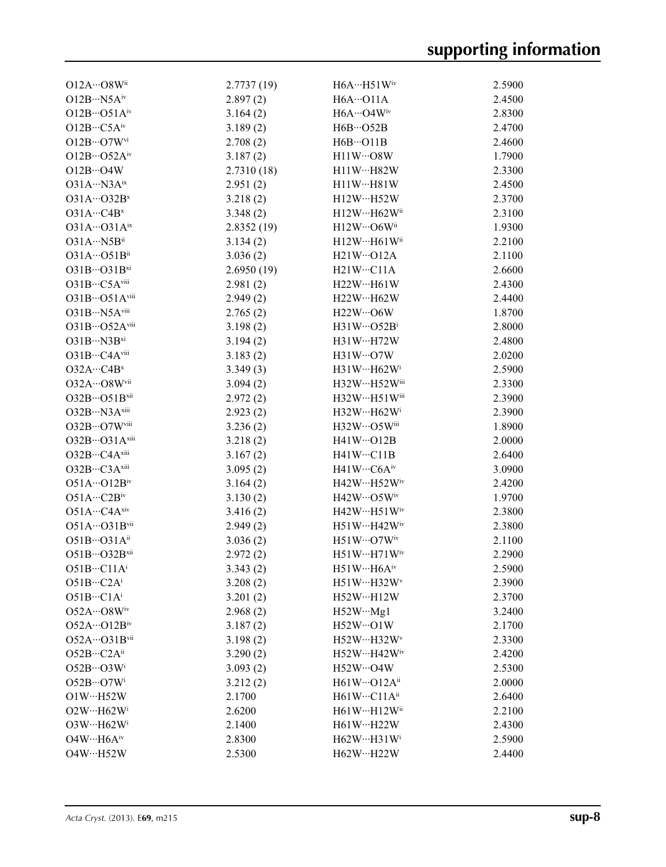| $O12A\cdots O8W$ <sup>ii</sup>    | 2.7737(19) | $H6A \cdots H51W$ <sup>iv</sup>  | 2.5900 |
|-----------------------------------|------------|----------------------------------|--------|
| $O12B\cdot\cdot\cdot N5A^{iv}$    | 2.897(2)   | $H6A \cdots O11A$                | 2.4500 |
| $O12B\cdots O51A^{iv}$            | 3.164(2)   | H6A…O4Wiv                        | 2.8300 |
| $O12B\cdots C5A^{iv}$             | 3.189(2)   | $H6B\cdots$ O52B                 | 2.4700 |
| $O12B\cdots O7W^{vi}$             | 2.708(2)   | $H6B \cdots O11B$                | 2.4600 |
| $O12B\cdots O52A^{iv}$            | 3.187(2)   | $H11W\cdots O8W$                 | 1.7900 |
| $O12B\cdots O4W$                  | 2.7310(18) | $H11W \cdots H82W$               | 2.3300 |
| $O31A\cdots N3A^{ix}$             | 2.951(2)   | $H11W \cdots H81W$               | 2.4500 |
| $O31A\cdots O32B^{x}$             | 3.218(2)   | $H12W \cdot \cdot \cdot H52W$    | 2.3700 |
| $O31A\cdots C4B^{x}$              | 3.348(2)   | H12W…H62Wii                      | 2.3100 |
| $O31A \cdots O31A^{ix}$           | 2.8352(19) | $H12W\cdots$ O6W <sup>ii</sup>   | 1.9300 |
| $O31A\cdots N5B$ <sup>ii</sup>    | 3.134(2)   | H12WH61W                         | 2.2100 |
| $O31A\cdots O51B$ <sup>ii</sup>   | 3.036(2)   | $H21W \cdots O12A$               | 2.1100 |
| $O31B\cdots O31B^{xi}$            | 2.6950(19) | $H21W \cdots C11A$               | 2.6600 |
| O31B…C5Aviii                      | 2.981(2)   | $H22W \cdot \cdot \cdot H61W$    | 2.4300 |
| $O31B\cdots O51A^{viii}$          | 2.949(2)   | H22W…H62W                        | 2.4400 |
| O31B…N5Aviii                      | 2.765(2)   | $H22W\cdots$ O6W                 | 1.8700 |
| $O31B\cdots O52A$ <sup>viii</sup> | 3.198(2)   | $H31W \cdots O52B^1$             | 2.8000 |
| $O31B\cdots N3B^{xi}$             | 3.194(2)   | H31WH72W                         | 2.4800 |
| $O31B\cdots CAA$ <sup>viii</sup>  | 3.183(2)   | $H31W\cdots O7W$                 | 2.0200 |
| O32AC4B <sup>x</sup>              | 3.349(3)   | H31W…H62Wi                       | 2.5900 |
| O32A…O8Wvii                       | 3.094(2)   | H32W…H52Wiii                     | 2.3300 |
| $O32B\cdots O51B$ <sup>xii</sup>  | 2.972(2)   | $H32WH51W$ iii                   | 2.3900 |
| $O32B\cdots N3A^{xiii}$           | 2.923(2)   | $H32W \cdot \cdot \cdot H62W$    | 2.3900 |
| O32B…O7Wviii                      | 3.236(2)   | $H32W\cdots$ O5W <sup>iii</sup>  | 1.8900 |
| $O32B\cdots O31A^{xiii}$          | 3.218(2)   | $H41W \cdots O12B$               | 2.0000 |
| $O32B\cdots CAA^{xiii}$           | 3.167(2)   | $H41W \cdots C11B$               | 2.6400 |
| $O32B\cdots C3A^{xiii}$           | 3.095(2)   | $H41W\cdots C6A^{iv}$            | 3.0900 |
| $O51A\cdots O12B^{iv}$            | 3.164(2)   | H42W…H52Wiv                      | 2.4200 |
| $O51A\cdots C2B^{iv}$             | 3.130(2)   | $H42W\cdots$ O5W <sup>iv</sup>   | 1.9700 |
| $O51A\cdots CAA^{xiv}$            | 3.416(2)   | $H42W \cdots H51W$ <sup>iv</sup> | 2.3800 |
| $O51A\cdots O31B$ vii             | 2.949(2)   | H51W…H42Wiv                      | 2.3800 |
| $O51B\cdots O31A^{ii}$            | 3.036(2)   | $H51W\cdots O7W^{\text{iv}}$     | 2.1100 |
| $O51B\cdots O32B$ xii             | 2.972(2)   | H51WH71Wiv                       | 2.2900 |
| $O51B\cdots C11A^{i}$             | 3.343(2)   | H51WH6A <sup>iv</sup>            | 2.5900 |
| $O51B\cdots C2A^i$                | 3.208(2)   | H51WH32W <sup>v</sup>            | 2.3900 |
| $O51B\cdots C1A^{i}$              | 3.201(2)   | $H52W \cdot H12W$                | 2.3700 |
| $O52A\cdots O8W^{\text{iv}}$      | 2.968(2)   | $H52W\cdots Mg1$                 | 3.2400 |
| $O52A \cdots O12B^{\text{iv}}$    | 3.187(2)   | $H52W \cdots O1W$                | 2.1700 |
| $O52A\cdots O31B$ <sup>vii</sup>  | 3.198(2)   | $H52W \cdots H32W$               | 2.3300 |
| $O52B\cdots C2A^{ii}$             | 3.290(2)   | $H52W \cdot H42W$ <sup>iv</sup>  | 2.4200 |
| $O52B\cdots O3W^i$                | 3.093(2)   | $H52W \cdot \cdot \cdot O4W$     | 2.5300 |
| $O52B\cdots O7W^i$                | 3.212(2)   | H61W…O12Aii                      | 2.0000 |
| $O1W \cdot \cdot \cdot H52W$      | 2.1700     | H61WC11A <sup>ii</sup>           | 2.6400 |
| $O2W \cdot \cdot \cdot H62W$      | 2.6200     | H61WH12Wii                       | 2.2100 |
| $O3W \cdot \cdot \cdot H62W$      | 2.1400     | H61W…H22W                        | 2.4300 |
| $O4W \cdot \cdot \cdot H6A^{iv}$  | 2.8300     | H62WH31W <sup>i</sup>            | 2.5900 |
| $O4W \cdot \cdot \cdot H52W$      | 2.5300     | H62W…H22W                        | 2.4400 |
|                                   |            |                                  |        |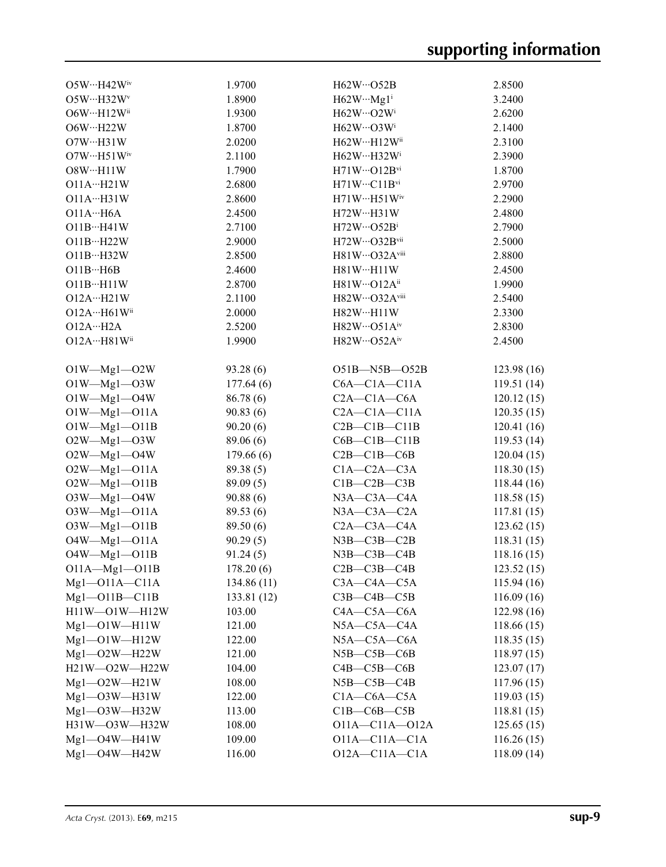| $O5W \cdot \cdot \cdot H42W$ <sup>iv</sup> | 1.9700      | $H62W \cdots O52B$            | 2.8500     |
|--------------------------------------------|-------------|-------------------------------|------------|
| O5W…H32W <sup>v</sup>                      | 1.8900      | $H62W\cdots Mg1^i$            | 3.2400     |
| O6W…H12Wii                                 | 1.9300      | H62W…O2Wi                     | 2.6200     |
| O6W…H22W                                   | 1.8700      | $H62W\cdots$ O3W <sup>i</sup> | 2.1400     |
| $O7W \cdot \cdot \cdot H31W$               | 2.0200      | H62W…H12Wii                   | 2.3100     |
| $O7W \cdot \cdot \cdot H51W$ iv            | 2.1100      | H62WH32W <sup>i</sup>         | 2.3900     |
| O8W…H11W                                   | 1.7900      | $H71W\cdots O12B^{vi}$        | 1.8700     |
| O11AH21W                                   | 2.6800      | $H71W\cdots C11B^{vi}$        | 2.9700     |
| O11AH31W                                   | 2.8600      | $H71WH51W^iv$                 | 2.2900     |
| O11AH6A                                    | 2.4500      | H72W…H31W                     | 2.4800     |
| $O11B\cdots H41W$                          | 2.7100      | $H72W\cdots$ O52Bi            | 2.7900     |
| $O11B\cdots H22W$                          | 2.9000      | H72W…O32Bvii                  | 2.5000     |
| O11BH32W                                   | 2.8500      | H81W…O32Aviii                 | 2.8800     |
| $O11B\cdots H6B$                           | 2.4600      | H81WH11W                      | 2.4500     |
| O11BH11W                                   | 2.8700      | $H81W \cdots O12A^{ii}$       | 1.9900     |
|                                            | 2.1100      | H82W…O32Aviii                 |            |
| O12AH21W                                   |             |                               | 2.5400     |
| O12A…H61Wii                                | 2.0000      | H82W…H11W                     | 2.3300     |
| O12AH2A                                    | 2.5200      | $H82W\cdots$ O51Aiv           | 2.8300     |
| 012A…H81Wii                                | 1.9900      | $H82W\cdots$ O52Aiv           | 2.4500     |
|                                            |             |                               |            |
| $O1W$ —Mg1—O2W                             | 93.28(6)    | O51B-N5B-O52B                 | 123.98(16) |
| $O1W$ —Mg1—O3W                             | 177.64(6)   | $C6A - C1A - C11A$            | 119.51(14) |
| $O1W - Mg1 - O4W$                          | 86.78 (6)   | $C2A - C1A - C6A$             | 120.12(15) |
| $O1W$ -Mgl- $O11A$                         | 90.83(6)    | $C2A - C1A - C11A$            | 120.35(15) |
| $O1W - Mg1 - O11B$                         | 90.20(6)    | $C2B - C1B - C11B$            | 120.41(16) |
| $O2W$ —Mg1— $O3W$                          | 89.06 (6)   | $C6B - C1B - C11B$            | 119.53(14) |
| $O2W$ —Mg1—O4W                             | 179.66(6)   | $C2B - C1B - C6B$             | 120.04(15) |
| $O2W$ —Mgl—OllA                            | 89.38 (5)   | $C1A - C2A - C3A$             | 118.30(15) |
| $O2W$ —Mgl—O11B                            | 89.09(5)    | $C1B-C2B-C3B$                 | 118.44(16) |
| $O3W - Mg1 - O4W$                          | 90.88(6)    | $N3A$ — $C3A$ — $C4A$         | 118.58(15) |
| $O3W$ -Mgl- $O11A$                         | 89.53 (6)   | $N3A - C3A - C2A$             | 117.81(15) |
| $O3W$ -Mgl- $O11B$                         | 89.50 (6)   | $C2A - C3A - C4A$             | 123.62(15) |
| $O4W$ - $Mgl$ - $O11A$                     | 90.29(5)    | $N3B$ -C $3B$ -C $2B$         | 118.31(15) |
| $O4W$ —Mgl—OllB                            | 91.24(5)    | $N3B - C3B - C4B$             | 118.16(15) |
| $O11A - Mg1 - O11B$                        | 178.20(6)   | $C2B - C3B - C4B$             | 123.52(15) |
| $Mgl$ -O11A - C11A                         | 134.86(11)  | $C3A - C4A - C5A$             | 115.94(16) |
| $Mgl$ -O11B - C11B                         | 133.81 (12) | $C3B - C4B - C5B$             | 116.09(16) |
| H11W-O1W-H12W                              | 103.00      | $C4A - C5A - C6A$             | 122.98(16) |
| $Mgl$ -O1W -H11W                           | 121.00      | $N5A - C5A - C4A$             | 118.66(15) |
| $Mgl$ -O1W -H12W                           | 122.00      | $N5A-C5A-C6A$                 | 118.35(15) |
| $Mgl$ -O2W -H22W                           | 121.00      | $N5B - C5B - C6B$             | 118.97(15) |
| H21W-O2W-H22W                              | 104.00      | $C4B - C5B - C6B$             | 123.07(17) |
| $Mgl$ -O2W -H21W                           | 108.00      | $N5B - C5B - C4B$             | 117.96(15) |
| $Mgl$ - $O3W$ - $H31W$                     | 122.00      | $C1A-C6A-C5A$                 | 119.03(15) |
| $Mgl$ -O3W -H32W                           | 113.00      | $C1B-C6B-C5B$                 | 118.81(15) |
| H31W-O3W-H32W                              | 108.00      | $O11A - C11A - O12A$          | 125.65(15) |
| $Mgl$ -O4W -H41W                           | 109.00      | $O11A - C11A - C1A$           | 116.26(15) |
| $Mgl$ -O4W -H42W                           | 116.00      | $O12A - C11A - C1A$           | 118.09(14) |
|                                            |             |                               |            |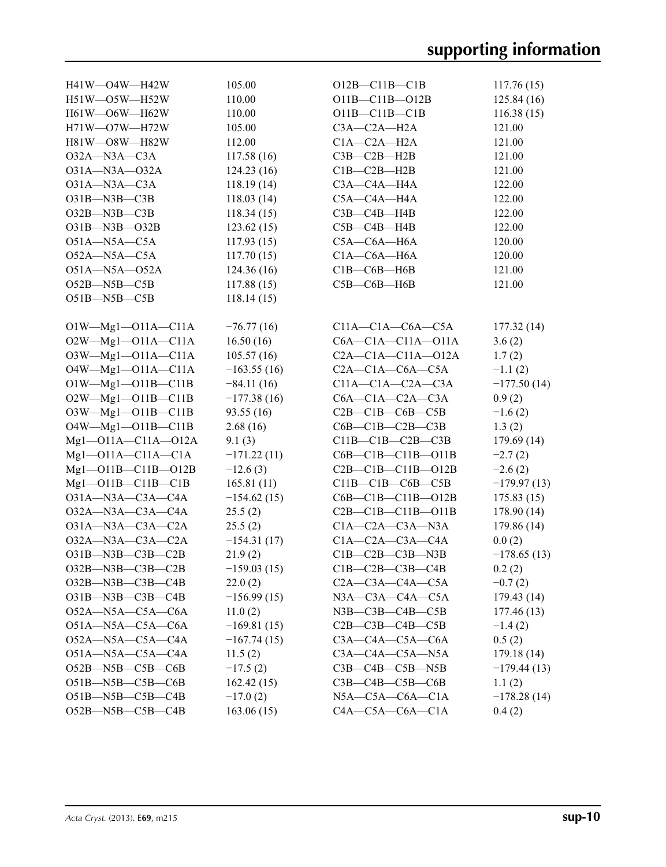| H41W-O4W-H42W                  | 105.00        | $O12B - C11B - C1B$           | 117.76(15)    |
|--------------------------------|---------------|-------------------------------|---------------|
| H51W-O5W-H52W                  | 110.00        | O11B-C11B-O12B                | 125.84(16)    |
| H61W-O6W-H62W                  | 110.00        | $O11B - C11B - C1B$           | 116.38(15)    |
| $H71W$ — $O7W$ — $H72W$        | 105.00        | $C3A - C2A - H2A$             | 121.00        |
| H81W-O8W-H82W                  | 112.00        | $C1A - C2A - H2A$             | 121.00        |
| $O32A - N3A - C3A$             | 117.58(16)    | $C3B - C2B - H2B$             | 121.00        |
| 031A-N3A-032A                  | 124.23(16)    | $C1B - C2B - H2B$             | 121.00        |
| $O31A - N3A - C3A$             | 118.19(14)    | C3A-C4A-H4A                   | 122.00        |
| $O31B - N3B - C3B$             | 118.03(14)    | C5A-C4A-H4A                   | 122.00        |
| $O32B - N3B - C3B$             | 118.34(15)    | $C3B - C4B - H4B$             | 122.00        |
| O31B-N3B-O32B                  | 123.62(15)    | $C5B - C4B - H4B$             | 122.00        |
| $O51A - N5A - C5A$             | 117.93(15)    | $C5A - C6A - H6A$             | 120.00        |
| $O52A - N5A - C5A$             | 117.70(15)    | $C1A - C6A - H6A$             | 120.00        |
| O51A-N5A-O52A                  | 124.36(16)    | $C1B-C6B-H6B$                 | 121.00        |
| $O52B - N5B - C5B$             | 117.88(15)    | $C5B - C6B - H6B$             | 121.00        |
| $O51B - N5B - C5B$             | 118.14(15)    |                               |               |
|                                |               |                               |               |
| $O1W$ -Mg1--O11A--C11A         | $-76.77(16)$  | $C11A-C1A-C6A-C5A$            | 177.32(14)    |
| $O2W$ —Mg1—O11A—C11A           | 16.50(16)     | $C6A - C1A - C11A - 011A$     | 3.6(2)        |
| $O3W - Mg1 - O11A - C11A$      | 105.57(16)    | $C2A - C1A - C11A - 012A$     | 1.7(2)        |
| $O4W$ —Mg1—O11A—C11A           | $-163.55(16)$ | $C2A - C1A - C6A - C5A$       | $-1.1(2)$     |
| $O1W - Mg1 - O11B - C11B$      | $-84.11(16)$  | $C11A - C1A - C2A - C3A$      | $-177.50(14)$ |
| $O2W - Mg1 - O11B - C11B$      | $-177.38(16)$ | $C6A - C1A - C2A - C3A$       | 0.9(2)        |
| O3W-Mg1-O11B-C11B              | 93.55 (16)    | $C2B - C1B - C6B - C5B$       | $-1.6(2)$     |
| O4W-Mg1-O11B-C11B              | 2.68(16)      | $C6B - C1B - C2B - C3B$       | 1.3(2)        |
| $Mgl$ -011A- $C11A$ -012A      | 9.1(3)        | $C11B - C1B - C2B - C3B$      | 179.69 (14)   |
| $Mgl$ -011A-C11A-C1A           | $-171.22(11)$ | $C6B - C1B - C11B - 011B$     | $-2.7(2)$     |
| Mg1-011B-C11B-012B             | $-12.6(3)$    | $C2B - C1B - C11B - 012B$     | $-2.6(2)$     |
| $Mgl$ -O11B - C11B - C1B       | 165.81(11)    | $C11B-C1B-C6B-C5B$            | $-179.97(13)$ |
| $O31A - N3A - C3A - C4A$       | $-154.62(15)$ | $C6B - C1B - C11B - 012B$     | 175.83(15)    |
| $O32A - N3A - C3A - C4A$       | 25.5(2)       | $C2B - C1B - C11B - O11B$     | 178.90(14)    |
| $O31A - N3A - C3A - C2A$       | 25.5(2)       | $C1A - C2A - C3A - N3A$       | 179.86 (14)   |
| O32A-N3A-C3A-C2A               | $-154.31(17)$ | $C1A - C2A - C3A - C4A$       | 0.0(2)        |
| O31B-N3B-C3B-C2B               | 21.9(2)       | $C1B - C2B - C3B - N3B$       | $-178.65(13)$ |
| $O32B$ —N $3B$ —C $3B$ —C $2B$ | $-159.03(15)$ | $C1B - C2B - C3B - C4B$       | 0.2(2)        |
| $O32B$ —N $3B$ —C $3B$ —C $4B$ | 22.0(2)       | $C2A - C3A - C4A - C5A$       | $-0.7(2)$     |
| $O31B-M3B-C3B-C4B$             | $-156.99(15)$ | $N3A$ — $C3A$ — $C4A$ — $C5A$ | 179.43(14)    |
| $O52A - N5A - C5A - C6A$       | 11.0(2)       | $N3B$ — $C3B$ — $C4B$ — $C5B$ | 177.46 (13)   |
| $O51A - N5A - C5A - C6A$       | $-169.81(15)$ | $C2B$ — $C3B$ — $C4B$ — $C5B$ | $-1.4(2)$     |
| $O52A - N5A - C5A - C4A$       | $-167.74(15)$ | $C3A - C4A - C5A - C6A$       | 0.5(2)        |
| $O51A - N5A - C5A - C4A$       | 11.5(2)       | $C3A - C4A - C5A - N5A$       | 179.18 (14)   |
| $O52B$ —N5B—C5B—C6B            | $-17.5(2)$    | $C3B - C4B - C5B - N5B$       | $-179.44(13)$ |
| $O51B-M5B-C5B-C6B$             | 162.42(15)    | $C3B - C4B - C5B - C6B$       | 1.1(2)        |
| $O51B - N5B - C5B - C4B$       | $-17.0(2)$    | $N5A$ — $C5A$ — $C6A$ — $C1A$ | $-178.28(14)$ |
| $O52B - N5B - C5B - C4B$       | 163.06(15)    | $C4A - C5A - C6A - C1A$       | 0.4(2)        |
|                                |               |                               |               |